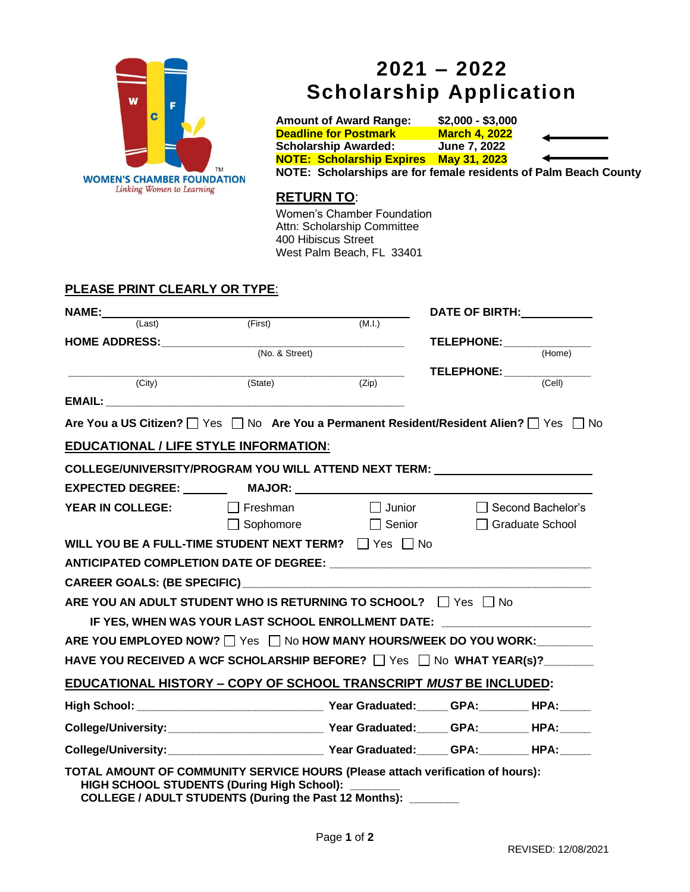

# **2021 – 2022 Scholarship Application**

**Amount of Award Range: \$2,000 - \$3,000 Deadline for Postmark March 4, 2022 Scholarship Awarded: June 7, 2022 NOTE: Scholarship Expires May 31, 2023 NOTE: Scholarships are for female residents of Palm Beach County**

## **RETURN TO**:

Women's Chamber Foundation Attn: Scholarship Committee 400 Hibiscus Street West Palm Beach, FL 33401

### **PLEASE PRINT CLEARLY OR TYPE**:

| <b>NAME:</b>                                                                             |                                                                                  |                                                      | DATE OF BIRTH:    |                     |
|------------------------------------------------------------------------------------------|----------------------------------------------------------------------------------|------------------------------------------------------|-------------------|---------------------|
| (Last)                                                                                   | (First)                                                                          | (M.I.)                                               |                   |                     |
| HOME ADDRESS: (No. & Street)                                                             |                                                                                  | <u> 1989 - Johann Barn, fransk politik (d. 1989)</u> | TELEPHONE: (Home) |                     |
|                                                                                          |                                                                                  |                                                      |                   |                     |
| (City)                                                                                   | (State)                                                                          | (Zip)                                                | TELEPHONE: (Cell) |                     |
|                                                                                          |                                                                                  |                                                      |                   |                     |
|                                                                                          |                                                                                  |                                                      |                   |                     |
| Are You a US Citizen?   Yes   No Are You a Permanent Resident/Resident Alien?   Yes   No |                                                                                  |                                                      |                   |                     |
| <b>EDUCATIONAL / LIFE STYLE INFORMATION:</b>                                             |                                                                                  |                                                      |                   |                     |
| COLLEGE/UNIVERSITY/PROGRAM YOU WILL ATTEND NEXT TERM: __________________________         |                                                                                  |                                                      |                   |                     |
|                                                                                          |                                                                                  |                                                      |                   |                     |
| <b>YEAR IN COLLEGE:</b> $\qquad \qquad \Box$ Freshman $\qquad \qquad \Box$ Junior        |                                                                                  |                                                      |                   | □ Second Bachelor's |
|                                                                                          |                                                                                  | □ Sophomore □ Senior                                 |                   | □ Graduate School   |
| WILL YOU BE A FULL-TIME STUDENT NEXT TERM? $\Box$ Yes $\Box$ No                          |                                                                                  |                                                      |                   |                     |
|                                                                                          |                                                                                  |                                                      |                   |                     |
|                                                                                          |                                                                                  |                                                      |                   |                     |
| ARE YOU AN ADULT STUDENT WHO IS RETURNING TO SCHOOL? $\Box$ Yes $\Box$ No                |                                                                                  |                                                      |                   |                     |
|                                                                                          | IF YES, WHEN WAS YOUR LAST SCHOOL ENROLLMENT DATE: _____________________________ |                                                      |                   |                     |
| ARE YOU EMPLOYED NOW? $\Box$ Yes $\Box$ No HOW MANY HOURS/WEEK DO YOU WORK:              |                                                                                  |                                                      |                   |                     |
| HAVE YOU RECEIVED A WCF SCHOLARSHIP BEFORE? $\Box$ Yes $\Box$ No WHAT YEAR(s)?           |                                                                                  |                                                      |                   |                     |
|                                                                                          |                                                                                  |                                                      |                   |                     |
| EDUCATIONAL HISTORY - COPY OF SCHOOL TRANSCRIPT MUST BE INCLUDED:                        |                                                                                  |                                                      |                   |                     |
|                                                                                          |                                                                                  |                                                      |                   |                     |
|                                                                                          |                                                                                  |                                                      |                   |                     |
|                                                                                          |                                                                                  |                                                      |                   |                     |
| TOTAL AMOUNT OF COMMUNITY SERVICE HOURS (Please attach verification of hours):           | HIGH SCHOOL STUDENTS (During High School): ______                                |                                                      |                   |                     |